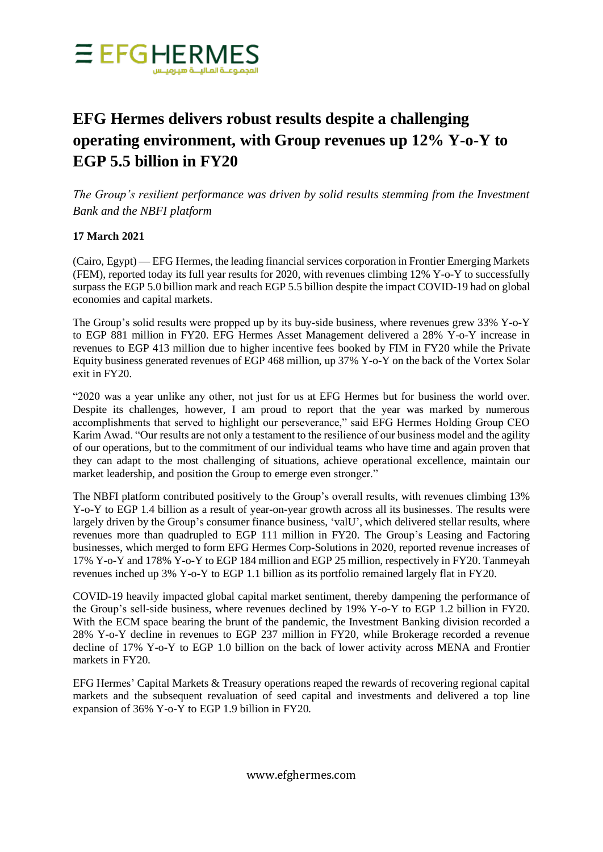

## **EFG Hermes delivers robust results despite a challenging operating environment, with Group revenues up 12% Y-o-Y to EGP 5.5 billion in FY20**

*The Group's resilient performance was driven by solid results stemming from the Investment Bank and the NBFI platform*

## **17 March 2021**

(Cairo, Egypt) — EFG Hermes, the leading financial services corporation in Frontier Emerging Markets (FEM), reported today its full year results for 2020, with revenues climbing 12% Y-o-Y to successfully surpass the EGP 5.0 billion mark and reach EGP 5.5 billion despite the impact COVID-19 had on global economies and capital markets.

The Group's solid results were propped up by its buy-side business, where revenues grew 33% Y-o-Y to EGP 881 million in FY20. EFG Hermes Asset Management delivered a 28% Y-o-Y increase in revenues to EGP 413 million due to higher incentive fees booked by FIM in FY20 while the Private Equity business generated revenues of EGP 468 million, up 37% Y-o-Y on the back of the Vortex Solar exit in FY20.

"2020 was a year unlike any other, not just for us at EFG Hermes but for business the world over. Despite its challenges, however, I am proud to report that the year was marked by numerous accomplishments that served to highlight our perseverance," said EFG Hermes Holding Group CEO Karim Awad. "Our results are not only a testament to the resilience of our business model and the agility of our operations, but to the commitment of our individual teams who have time and again proven that they can adapt to the most challenging of situations, achieve operational excellence, maintain our market leadership, and position the Group to emerge even stronger."

The NBFI platform contributed positively to the Group's overall results, with revenues climbing 13% Y-o-Y to EGP 1.4 billion as a result of year-on-year growth across all its businesses. The results were largely driven by the Group's consumer finance business, 'valU', which delivered stellar results, where revenues more than quadrupled to EGP 111 million in FY20. The Group's Leasing and Factoring businesses, which merged to form EFG Hermes Corp-Solutions in 2020, reported revenue increases of 17% Y-o-Y and 178% Y-o-Y to EGP 184 million and EGP 25 million, respectively in FY20. Tanmeyah revenues inched up 3% Y-o-Y to EGP 1.1 billion as its portfolio remained largely flat in FY20.

COVID-19 heavily impacted global capital market sentiment, thereby dampening the performance of the Group's sell-side business, where revenues declined by 19% Y-o-Y to EGP 1.2 billion in FY20. With the ECM space bearing the brunt of the pandemic, the Investment Banking division recorded a 28% Y-o-Y decline in revenues to EGP 237 million in FY20, while Brokerage recorded a revenue decline of 17% Y-o-Y to EGP 1.0 billion on the back of lower activity across MENA and Frontier markets in FY20.

EFG Hermes' Capital Markets & Treasury operations reaped the rewards of recovering regional capital markets and the subsequent revaluation of seed capital and investments and delivered a top line expansion of 36% Y-o-Y to EGP 1.9 billion in FY20.

www.efghermes.com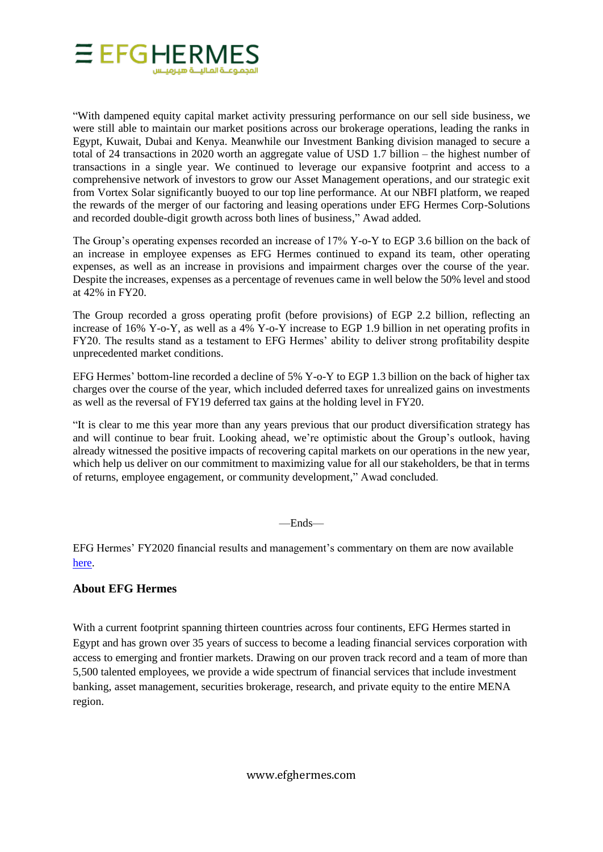

"With dampened equity capital market activity pressuring performance on our sell side business, we were still able to maintain our market positions across our brokerage operations, leading the ranks in Egypt, Kuwait, Dubai and Kenya. Meanwhile our Investment Banking division managed to secure a total of 24 transactions in 2020 worth an aggregate value of USD 1.7 billion – the highest number of transactions in a single year. We continued to leverage our expansive footprint and access to a comprehensive network of investors to grow our Asset Management operations, and our strategic exit from Vortex Solar significantly buoyed to our top line performance. At our NBFI platform, we reaped the rewards of the merger of our factoring and leasing operations under EFG Hermes Corp-Solutions and recorded double-digit growth across both lines of business," Awad added.

The Group's operating expenses recorded an increase of 17% Y-o-Y to EGP 3.6 billion on the back of an increase in employee expenses as EFG Hermes continued to expand its team, other operating expenses, as well as an increase in provisions and impairment charges over the course of the year. Despite the increases, expenses as a percentage of revenues came in well below the 50% level and stood at 42% in FY20.

The Group recorded a gross operating profit (before provisions) of EGP 2.2 billion, reflecting an increase of 16% Y-o-Y, as well as a 4% Y-o-Y increase to EGP 1.9 billion in net operating profits in FY20. The results stand as a testament to EFG Hermes' ability to deliver strong profitability despite unprecedented market conditions.

EFG Hermes' bottom-line recorded a decline of 5% Y-o-Y to EGP 1.3 billion on the back of higher tax charges over the course of the year, which included deferred taxes for unrealized gains on investments as well as the reversal of FY19 deferred tax gains at the holding level in FY20.

"It is clear to me this year more than any years previous that our product diversification strategy has and will continue to bear fruit. Looking ahead, we're optimistic about the Group's outlook, having already witnessed the positive impacts of recovering capital markets on our operations in the new year, which help us deliver on our commitment to maximizing value for all our stakeholders, be that in terms of returns, employee engagement, or community development," Awad concluded.

—Ends—

EFG Hermes' FY2020 financial results and management's commentary on them are now available [here.](https://www.efghermes.com/en/InvestorRelations/Pages/Earnings-Releases.aspx)

## **About EFG Hermes**

With a current footprint spanning thirteen countries across four continents, EFG Hermes started in Egypt and has grown over 35 years of success to become a leading financial services corporation with access to emerging and frontier markets. Drawing on our proven track record and a team of more than 5,500 talented employees, we provide a wide spectrum of financial services that include investment banking, asset management, securities brokerage, research, and private equity to the entire MENA region.

www.efghermes.com